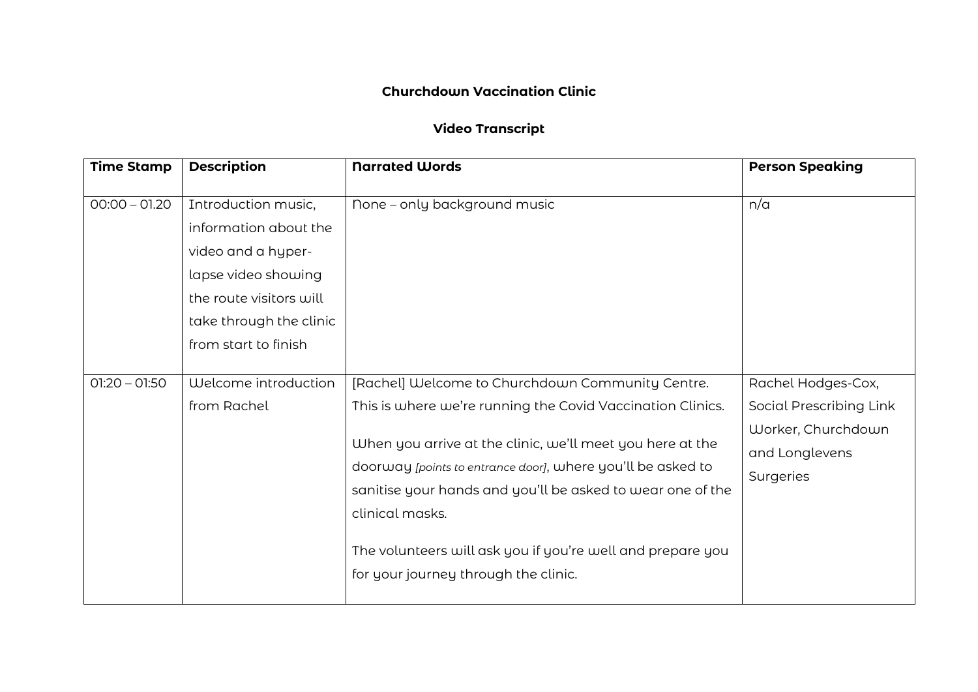## **Churchdown Vaccination Clinic**

## **Video Transcript**

| <b>Time Stamp</b> | <b>Description</b>                                                                                                                                                      | <b>Narrated Words</b>                                                                                                                                                                                                                                                                                                                                                                                                             | <b>Person Speaking</b>                                                                             |
|-------------------|-------------------------------------------------------------------------------------------------------------------------------------------------------------------------|-----------------------------------------------------------------------------------------------------------------------------------------------------------------------------------------------------------------------------------------------------------------------------------------------------------------------------------------------------------------------------------------------------------------------------------|----------------------------------------------------------------------------------------------------|
| $00:00 - 01:20$   | Introduction music,<br>information about the<br>video and a hyper-<br>lapse video showing<br>the route visitors will<br>take through the clinic<br>from start to finish | None - only background music                                                                                                                                                                                                                                                                                                                                                                                                      | n/a                                                                                                |
| $01:20 - 01:50$   | Welcome introduction<br>from Rachel                                                                                                                                     | [Rachel] Welcome to Churchdown Community Centre.<br>This is where we're running the Covid Vaccination Clinics.<br>When you arrive at the clinic, we'll meet you here at the<br>doorway [points to entrance door], where you'll be asked to<br>sanitise your hands and you'll be asked to wear one of the<br>clinical masks.<br>The volunteers will ask you if you're well and prepare you<br>for your journey through the clinic. | Rachel Hodges-Cox,<br>Social Prescribing Link<br>Worker, Churchdown<br>and Longlevens<br>Surgeries |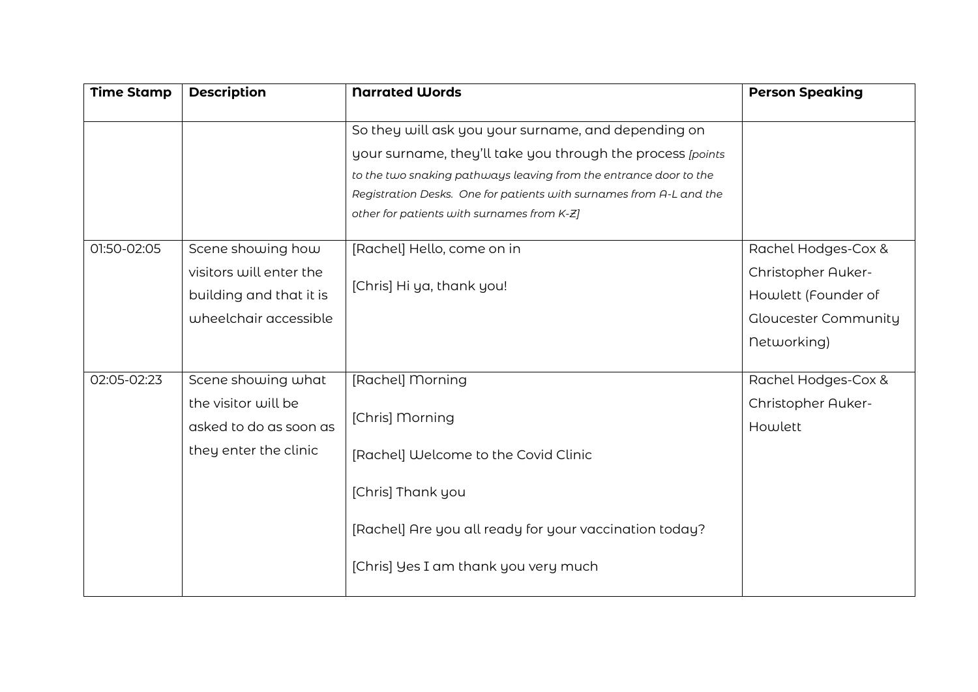| <b>Time Stamp</b> | <b>Description</b>                                                                               | <b>Narrated Words</b>                                                                                                                                                                                                                                                                                        | <b>Person Speaking</b>                                                                                         |
|-------------------|--------------------------------------------------------------------------------------------------|--------------------------------------------------------------------------------------------------------------------------------------------------------------------------------------------------------------------------------------------------------------------------------------------------------------|----------------------------------------------------------------------------------------------------------------|
|                   |                                                                                                  | So they will ask you your surname, and depending on<br>your surname, they'll take you through the process [points]<br>to the two snaking pathways leaving from the entrance door to the<br>Registration Desks. One for patients with surnames from A-L and the<br>other for patients with surnames from K-Z] |                                                                                                                |
| 01:50-02:05       | Scene showing how<br>visitors will enter the<br>building and that it is<br>wheelchair accessible | [Rachel] Hello, come on in<br>[Chris] Hi ya, thank you!                                                                                                                                                                                                                                                      | Rachel Hodges-Cox &<br>Christopher Auker-<br>Howlett (Founder of<br><b>Gloucester Community</b><br>networking) |
| 02:05-02:23       | Scene showing what<br>the visitor will be<br>asked to do as soon as<br>they enter the clinic     | [Rachel] Morning<br>[Chris] Morning<br>[Rachel] Welcome to the Covid Clinic<br>[Chris] Thank you<br>[Rachel] Are you all ready for your vaccination today?<br>[Chris] Yes I am thank you very much                                                                                                           | Rachel Hodges-Cox &<br>Christopher Auker-<br>Howlett                                                           |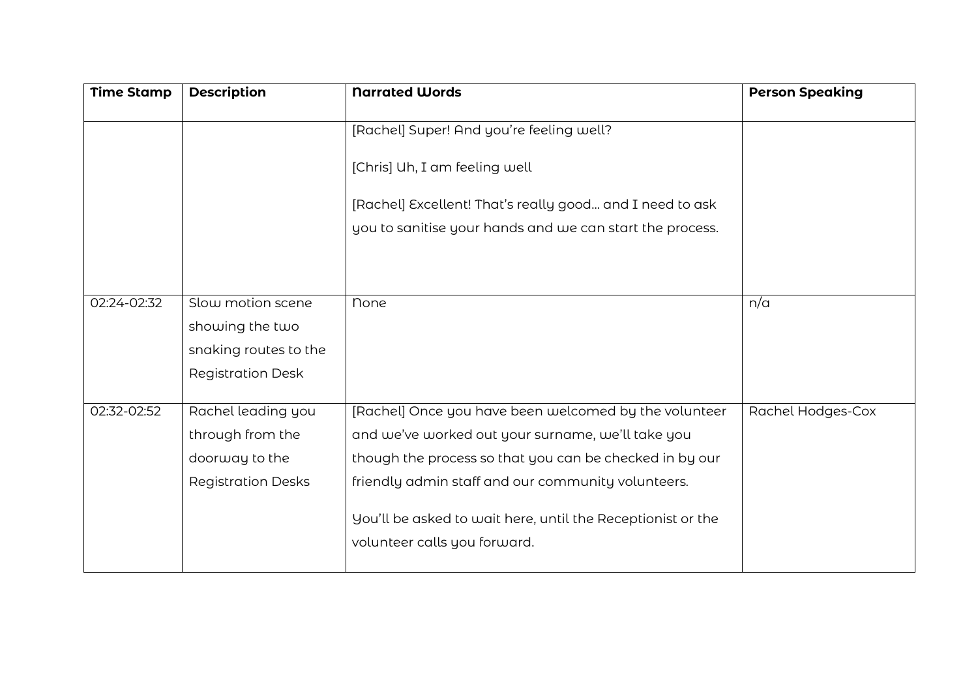| <b>Time Stamp</b> | <b>Description</b>        | <b>Narrated Words</b>                                       | <b>Person Speaking</b> |
|-------------------|---------------------------|-------------------------------------------------------------|------------------------|
|                   |                           | [Rachel] Super! And you're feeling well?                    |                        |
|                   |                           | [Chris] Uh, I am feeling well                               |                        |
|                   |                           | [Rachel] Excellent! That's really good and I need to ask    |                        |
|                   |                           | you to sanitise your hands and we can start the process.    |                        |
|                   |                           |                                                             |                        |
|                   |                           |                                                             |                        |
| 02:24-02:32       | Slow motion scene         | <b>None</b>                                                 | n/a                    |
|                   | showing the two           |                                                             |                        |
|                   | snaking routes to the     |                                                             |                        |
|                   | <b>Registration Desk</b>  |                                                             |                        |
| 02:32-02:52       | Rachel leading you        | [Rachel] Once you have been welcomed by the volunteer       | Rachel Hodges-Cox      |
|                   | through from the          | and we've worked out your surname, we'll take you           |                        |
|                   | doorway to the            | though the process so that you can be checked in by our     |                        |
|                   | <b>Registration Desks</b> | friendly admin staff and our community volunteers.          |                        |
|                   |                           | You'll be asked to wait here, until the Receptionist or the |                        |
|                   |                           | volunteer calls you forward.                                |                        |
|                   |                           |                                                             |                        |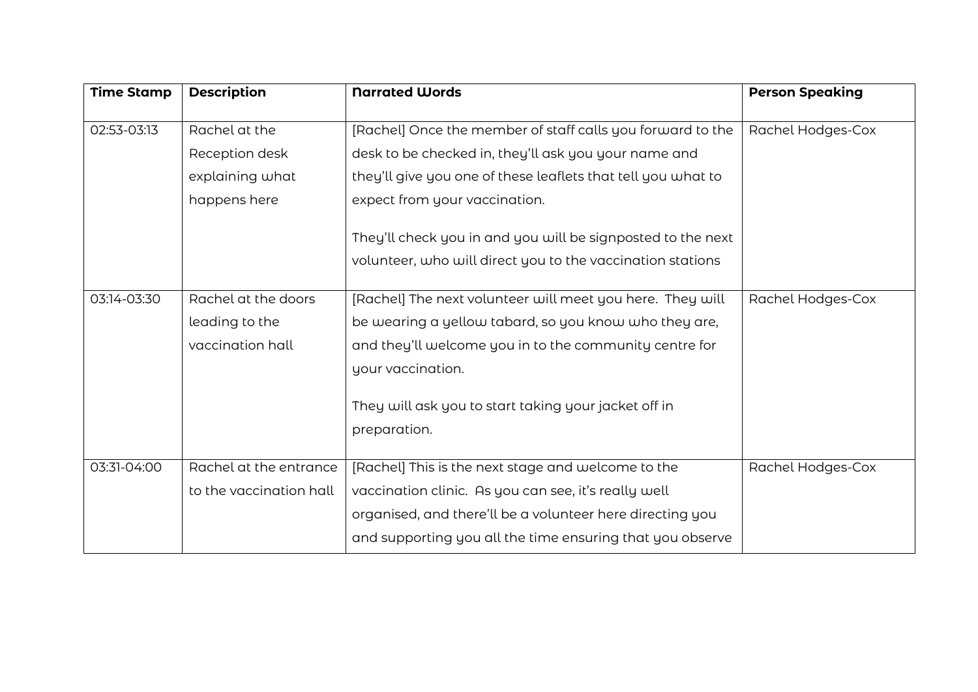| <b>Time Stamp</b> | <b>Description</b>      | <b>Narrated Words</b>                                                | <b>Person Speaking</b> |
|-------------------|-------------------------|----------------------------------------------------------------------|------------------------|
| 02:53-03:13       | Rachel at the           | [Rachel] Once the member of staff calls you forward to the           | Rachel Hodges-Cox      |
|                   | Reception desk          | desk to be checked in, they'll ask you your name and                 |                        |
|                   | explaining what         | they'll give you one of these leaflets that tell you what to         |                        |
|                   | happens here            | expect from your vaccination.                                        |                        |
|                   |                         | They'll check you in and you will be signposted to the next          |                        |
|                   |                         | volunteer, who will direct you to the vaccination stations           |                        |
| 03:14-03:30       | Rachel at the doors     | [Rachel] The next volunteer will meet you here. They will            | Rachel Hodges-Cox      |
|                   | leading to the          | be wearing a yellow tabard, so you know who they are,                |                        |
|                   | vaccination hall        | and they'll welcome you in to the community centre for               |                        |
|                   |                         | your vaccination.                                                    |                        |
|                   |                         | They will ask you to start taking your jacket off in<br>preparation. |                        |
|                   |                         |                                                                      |                        |
| 03:31-04:00       | Rachel at the entrance  | [Rachel] This is the next stage and welcome to the                   | Rachel Hodges-Cox      |
|                   | to the vaccination hall | vaccination clinic. As you can see, it's really well                 |                        |
|                   |                         | organised, and there'll be a volunteer here directing you            |                        |
|                   |                         | and supporting you all the time ensuring that you observe            |                        |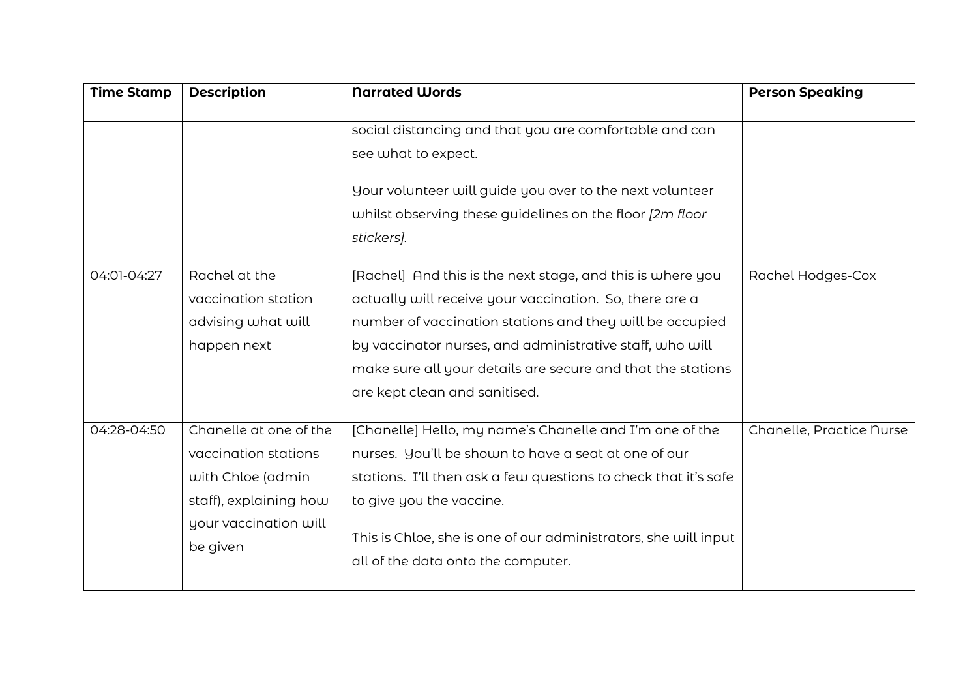| <b>Time Stamp</b> | <b>Description</b>                                                                                                                 | <b>Narrated Words</b>                                                                                                                                                                                                                                                                                                                         | <b>Person Speaking</b>   |
|-------------------|------------------------------------------------------------------------------------------------------------------------------------|-----------------------------------------------------------------------------------------------------------------------------------------------------------------------------------------------------------------------------------------------------------------------------------------------------------------------------------------------|--------------------------|
|                   |                                                                                                                                    | social distancing and that you are comfortable and can<br>see what to expect.                                                                                                                                                                                                                                                                 |                          |
|                   |                                                                                                                                    | Your volunteer will guide you over to the next volunteer<br>whilst observing these guidelines on the floor [2m floor<br>stickers].                                                                                                                                                                                                            |                          |
| 04:01-04:27       | Rachel at the<br>vaccination station<br>advising what will<br>happen next                                                          | [Rachel] And this is the next stage, and this is where you<br>actually will receive your vaccination. So, there are a<br>number of vaccination stations and they will be occupied<br>by vaccinator nurses, and administrative staff, who will<br>make sure all your details are secure and that the stations<br>are kept clean and sanitised. | Rachel Hodges-Cox        |
| 04:28-04:50       | Chanelle at one of the<br>vaccination stations<br>with Chloe (admin<br>staff), explaining how<br>your vaccination will<br>be given | [Chanelle] Hello, my name's Chanelle and I'm one of the<br>nurses. You'll be shown to have a seat at one of our<br>stations. I'll then ask a few questions to check that it's safe<br>to give you the vaccine.<br>This is Chloe, she is one of our administrators, she will input<br>all of the data onto the computer.                       | Chanelle, Practice Nurse |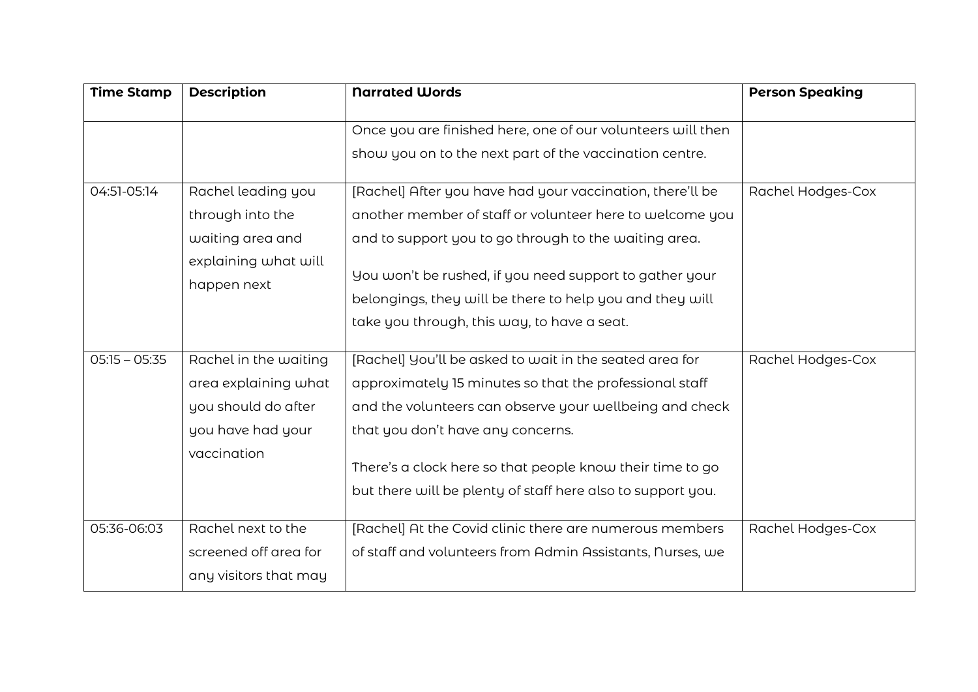| <b>Time Stamp</b> | <b>Description</b>                                                                                       | <b>Narrated Words</b>                                                                                                                                                                                                                                                                                                                          | <b>Person Speaking</b> |
|-------------------|----------------------------------------------------------------------------------------------------------|------------------------------------------------------------------------------------------------------------------------------------------------------------------------------------------------------------------------------------------------------------------------------------------------------------------------------------------------|------------------------|
|                   |                                                                                                          | Once you are finished here, one of our volunteers will then                                                                                                                                                                                                                                                                                    |                        |
|                   |                                                                                                          | show you on to the next part of the vaccination centre.                                                                                                                                                                                                                                                                                        |                        |
| 04:51-05:14       | Rachel leading you<br>through into the<br>waiting area and<br>explaining what will<br>happen next        | [Rachel] After you have had your vaccination, there'll be<br>another member of staff or volunteer here to welcome you<br>and to support you to go through to the waiting area.<br>You won't be rushed, if you need support to gather your<br>belongings, they will be there to help you and they will                                          | Rachel Hodges-Cox      |
|                   |                                                                                                          | take you through, this way, to have a seat.                                                                                                                                                                                                                                                                                                    |                        |
| $05:15 - 05:35$   | Rachel in the waiting<br>area explaining what<br>you should do after<br>you have had your<br>vaccination | [Rachel] You'll be asked to wait in the seated area for<br>approximately 15 minutes so that the professional staff<br>and the volunteers can observe your wellbeing and check<br>that you don't have any concerns.<br>There's a clock here so that people know their time to go<br>but there will be plenty of staff here also to support you. | Rachel Hodges-Cox      |
| 05:36-06:03       | Rachel next to the<br>screened off area for                                                              | [Rachel] At the Covid clinic there are numerous members<br>of staff and volunteers from Admin Assistants, Nurses, we                                                                                                                                                                                                                           | Rachel Hodges-Cox      |
|                   | any visitors that may                                                                                    |                                                                                                                                                                                                                                                                                                                                                |                        |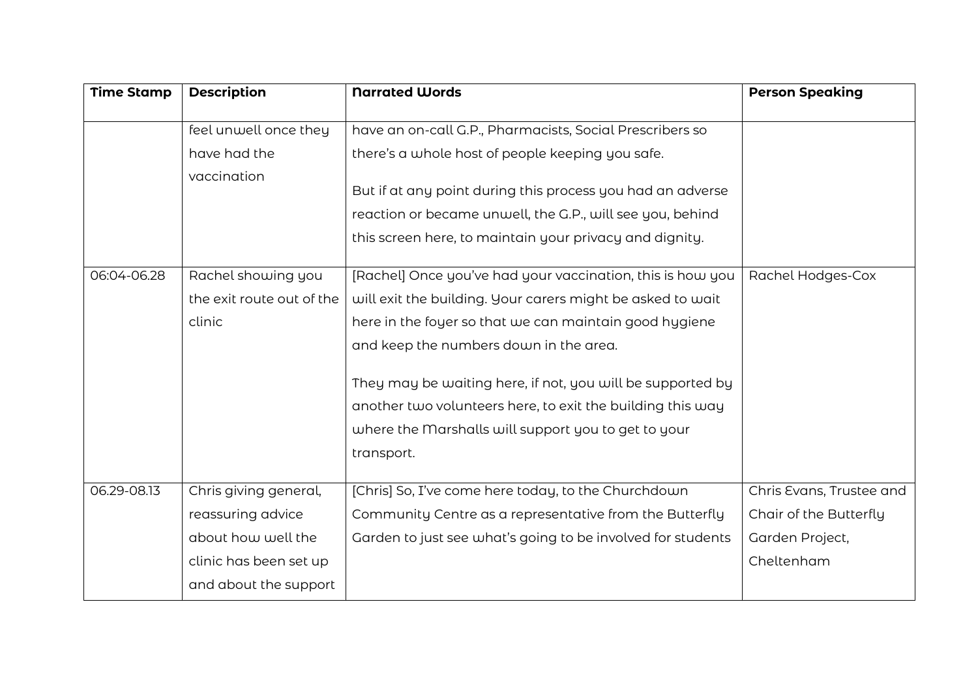| <b>Time Stamp</b> | <b>Description</b>        | <b>Narrated Words</b>                                       | <b>Person Speaking</b>   |
|-------------------|---------------------------|-------------------------------------------------------------|--------------------------|
|                   | feel unwell once they     | have an on-call G.P., Pharmacists, Social Prescribers so    |                          |
|                   | have had the              | there's a whole host of people keeping you safe.            |                          |
|                   | vaccination               |                                                             |                          |
|                   |                           | But if at any point during this process you had an adverse  |                          |
|                   |                           | reaction or became unwell, the G.P., will see you, behind   |                          |
|                   |                           | this screen here, to maintain your privacy and dignity.     |                          |
|                   |                           |                                                             |                          |
| 06:04-06.28       | Rachel showing you        | [Rachel] Once you've had your vaccination, this is how you  | Rachel Hodges-Cox        |
|                   | the exit route out of the | will exit the building. Your carers might be asked to wait  |                          |
|                   | clinic                    | here in the foyer so that we can maintain good hygiene      |                          |
|                   |                           | and keep the numbers down in the area.                      |                          |
|                   |                           | They may be waiting here, if not, you will be supported by  |                          |
|                   |                           | another two volunteers here, to exit the building this way  |                          |
|                   |                           | where the Marshalls will support you to get to your         |                          |
|                   |                           | transport.                                                  |                          |
|                   |                           |                                                             |                          |
| 06.29-08.13       | Chris giving general,     | [Chris] So, I've come here today, to the Churchdown         | Chris Evans, Trustee and |
|                   | reassuring advice         | Community Centre as a representative from the Butterfly     | Chair of the Butterfly   |
|                   | about how well the        | Garden to just see what's going to be involved for students | Garden Project,          |
|                   | clinic has been set up    |                                                             | Cheltenham               |
|                   | and about the support     |                                                             |                          |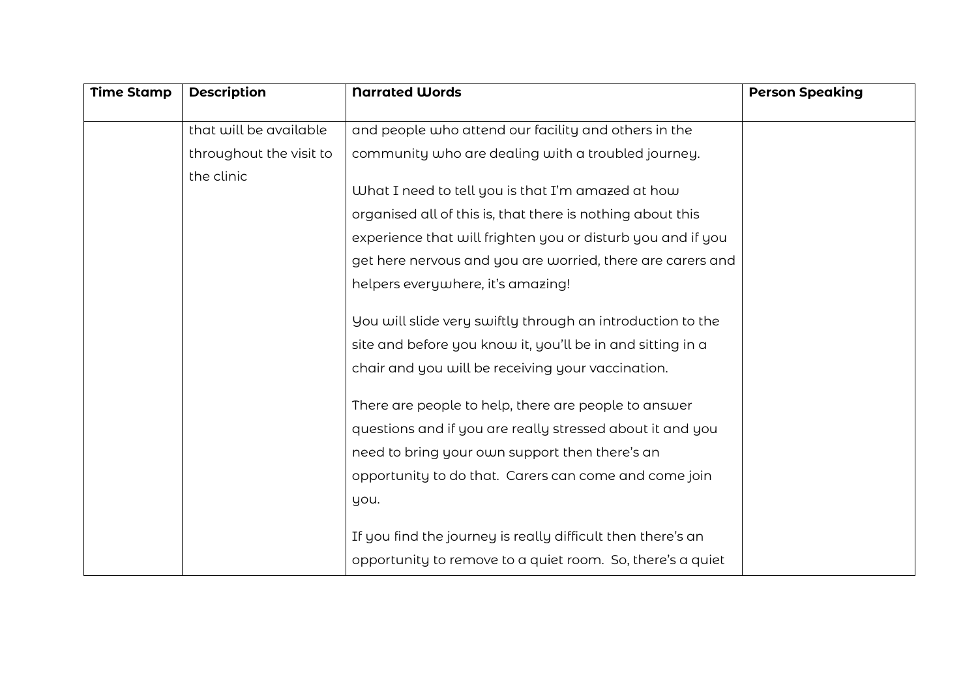| <b>Time Stamp</b> | <b>Description</b>      | <b>Narrated Words</b>                                       | <b>Person Speaking</b> |
|-------------------|-------------------------|-------------------------------------------------------------|------------------------|
|                   |                         |                                                             |                        |
|                   | that will be available  | and people who attend our facility and others in the        |                        |
|                   | throughout the visit to | community who are dealing with a troubled journey.          |                        |
|                   | the clinic              |                                                             |                        |
|                   |                         | What I need to tell you is that I'm amazed at how           |                        |
|                   |                         | organised all of this is, that there is nothing about this  |                        |
|                   |                         | experience that will frighten you or disturb you and if you |                        |
|                   |                         | get here nervous and you are worried, there are carers and  |                        |
|                   |                         | helpers everywhere, it's amazing!                           |                        |
|                   |                         | You will slide very swiftly through an introduction to the  |                        |
|                   |                         | site and before you know it, you'll be in and sitting in a  |                        |
|                   |                         | chair and you will be receiving your vaccination.           |                        |
|                   |                         | There are people to help, there are people to answer        |                        |
|                   |                         | questions and if you are really stressed about it and you   |                        |
|                   |                         | need to bring your own support then there's an              |                        |
|                   |                         | opportunity to do that. Carers can come and come join       |                        |
|                   |                         | you.                                                        |                        |
|                   |                         | If you find the journey is really difficult then there's an |                        |
|                   |                         | opportunity to remove to a quiet room. So, there's a quiet  |                        |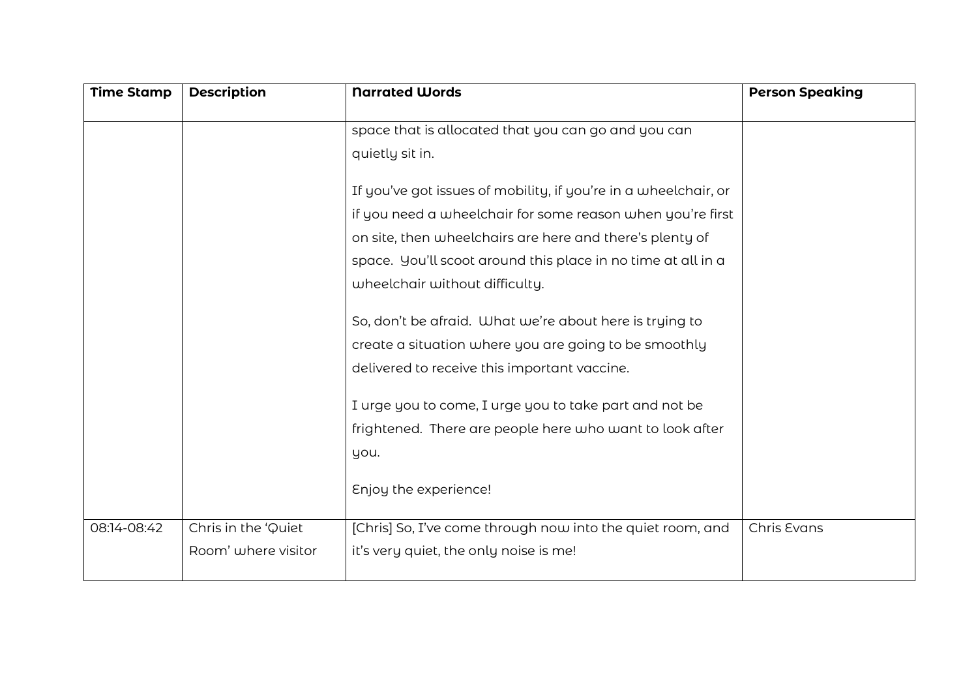| <b>Time Stamp</b> | <b>Description</b>  | <b>Narrated Words</b>                                           | <b>Person Speaking</b> |
|-------------------|---------------------|-----------------------------------------------------------------|------------------------|
|                   |                     | space that is allocated that you can go and you can             |                        |
|                   |                     | quietly sit in.                                                 |                        |
|                   |                     |                                                                 |                        |
|                   |                     | If you've got issues of mobility, if you're in a wheelchair, or |                        |
|                   |                     | if you need a wheelchair for some reason when you're first      |                        |
|                   |                     | on site, then wheelchairs are here and there's plenty of        |                        |
|                   |                     | space. You'll scoot around this place in no time at all in a    |                        |
|                   |                     | wheelchair without difficulty.                                  |                        |
|                   |                     |                                                                 |                        |
|                   |                     | So, don't be afraid. What we're about here is trying to         |                        |
|                   |                     | create a situation where you are going to be smoothly           |                        |
|                   |                     | delivered to receive this important vaccine.                    |                        |
|                   |                     | I urge you to come, I urge you to take part and not be          |                        |
|                   |                     | frightened. There are people here who want to look after        |                        |
|                   |                     | you.                                                            |                        |
|                   |                     |                                                                 |                        |
|                   |                     | Enjoy the experience!                                           |                        |
| 08:14-08:42       | Chris in the 'Quiet | [Chris] So, I've come through now into the quiet room, and      | Chris Evans            |
|                   | Room' where visitor | it's very quiet, the only noise is me!                          |                        |
|                   |                     |                                                                 |                        |